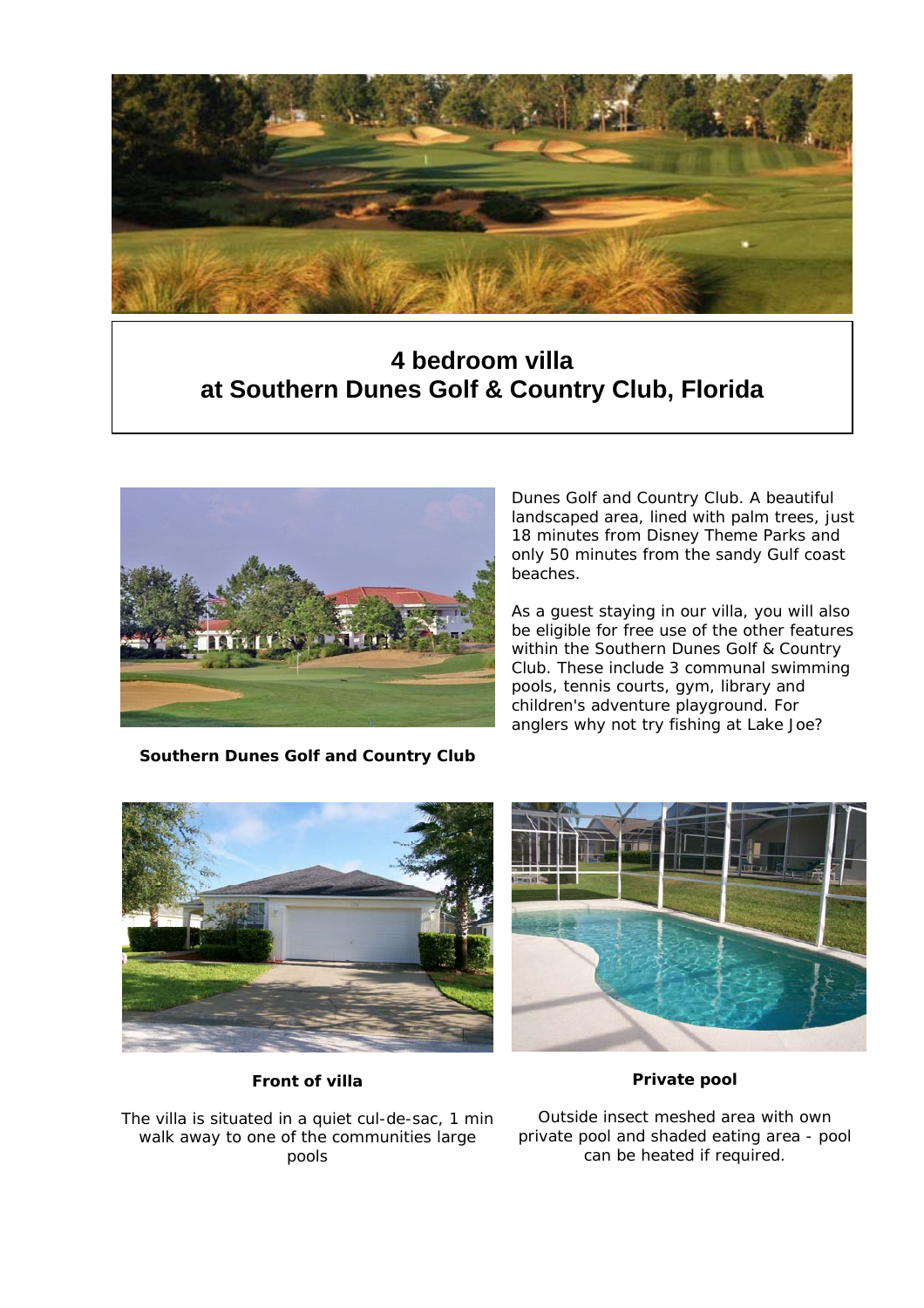

# *This four-bedroom villa is situated on the*  **at Southern Dunes Golf & Country Club, Florida 4 bedroom villa**



**Southern Dunes Golf and Country Club**

*Dunes Golf and Country Club. A beautiful landscaped area, lined with palm trees, just 18 minutes from Disney Theme Parks and only 50 minutes from the sandy Gulf coast beaches.* 

*As a guest staying in our villa, you will also be eligible for free use of the other features within the Southern Dunes Golf & Country Club. These include 3 communal swimming pools, tennis courts, gym, library and children's adventure playground. For anglers why not try fishing at Lake Joe?* 





*Front of villa*

*The villa is situated in a quiet cul-de-sac, 1 min walk away to one of the communities large pools*

*Outside insect meshed area with own private pool and shaded eating area - pool can be heated if required.*

*Private pool*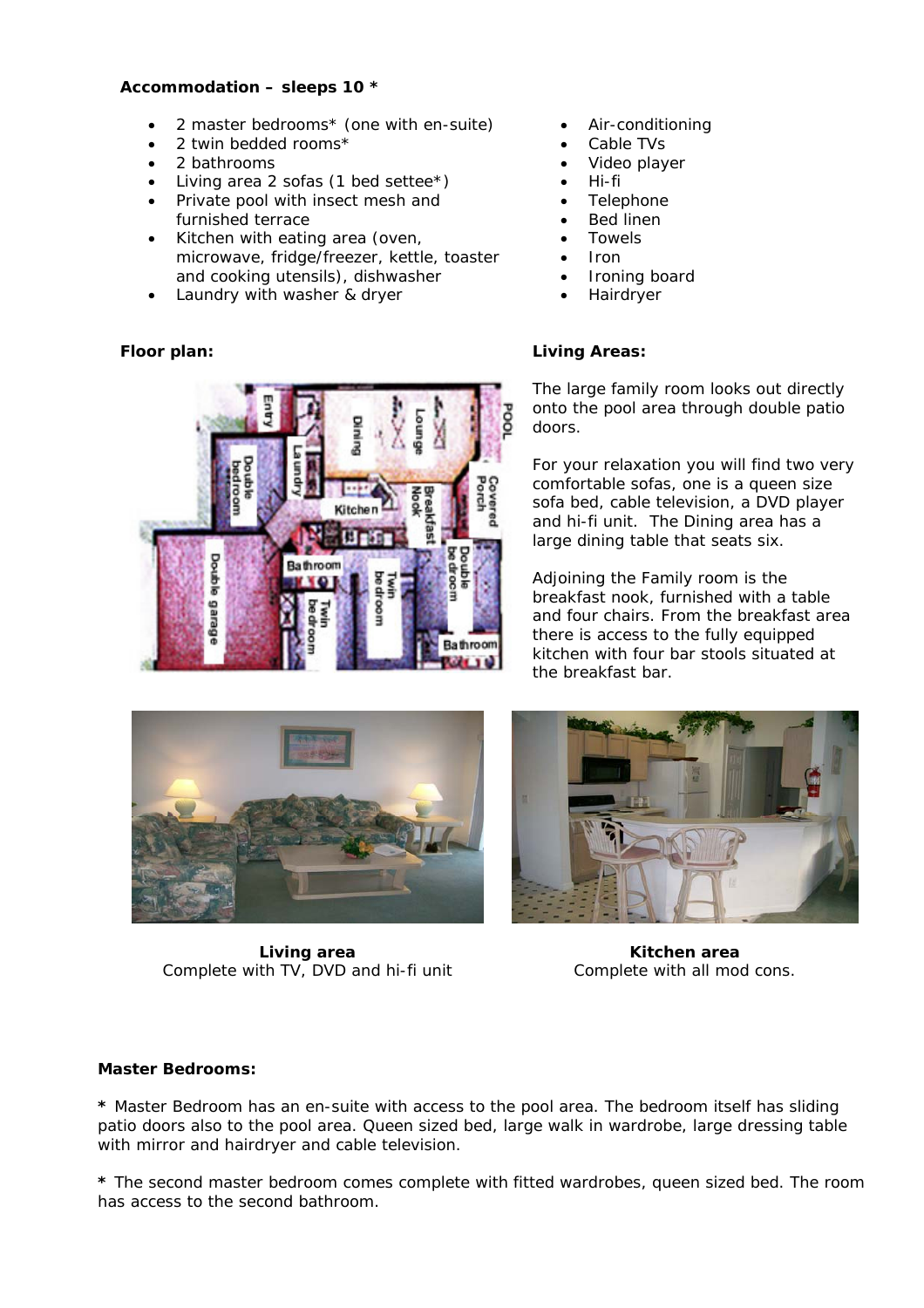# **Accommodation – sleeps 10 \***

- 2 master bedrooms\* (one with en-suite)
- 2 twin bedded rooms\*
- 2 bathrooms
- Living area 2 sofas  $(1$  bed settee\*)
- Private pool with insect mesh and furnished terrace
- Kitchen with eating area (oven, microwave, fridge/freezer, kettle, toaster and cooking utensils), dishwasher
- Laundry with washer & dryer



- Air-conditioning
- Cable TVs
- Video player
- Hi-fi
- Telephone
- Bed linen
- Towels
- Iron
- Ironing board
- **Hairdryer**

# **Floor plan: Living Areas:**

The large family room looks out directly onto the pool area through double patio doors.

For your relaxation you will find two very comfortable sofas, one is a queen size sofa bed, cable television, a DVD player and hi-fi unit. The Dining area has a large dining table that seats six.

Adjoining the Family room is the breakfast nook, furnished with a table and four chairs. From the breakfast area there is access to the fully equipped kitchen with four bar stools situated at the breakfast bar.



*Living area Complete with TV, DVD and hi-fi unit*



**Kitchen area**  *Complete with all mod cons.*

# **Master Bedrooms:**

**\*** Master Bedroom has an en-suite with access to the pool area. The bedroom itself has sliding patio doors also to the pool area. Queen sized bed, large walk in wardrobe, large dressing table with mirror and hairdryer and cable television.

**\*** The second master bedroom comes complete with fitted wardrobes, queen sized bed. The room has access to the second bathroom.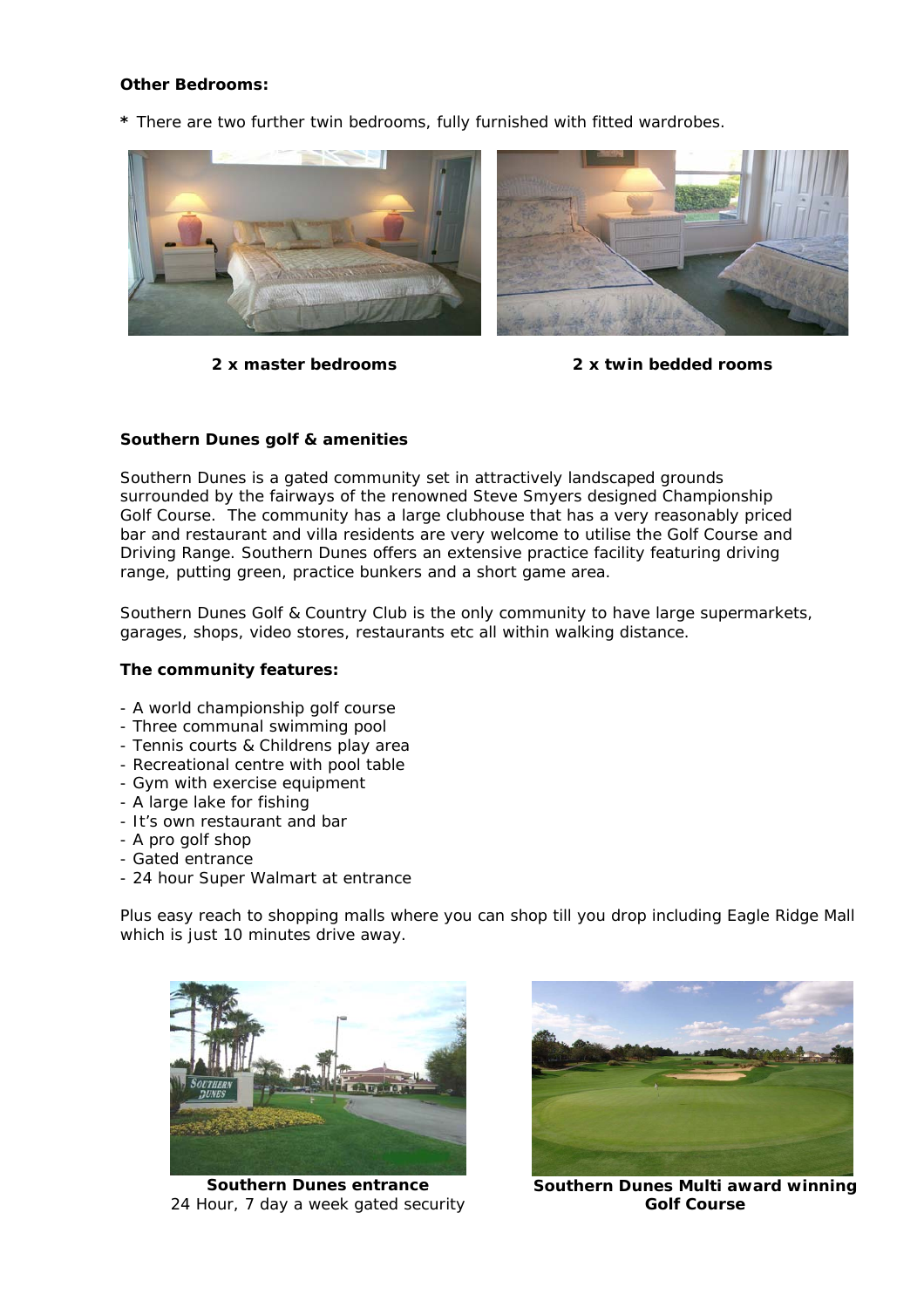# **Other Bedrooms:**

**\*** There are two further twin bedrooms, fully furnished with fitted wardrobes.



*2 x master bedrooms 2 x twin bedded rooms*

# **Southern Dunes golf & amenities**

Southern Dunes is a gated community set in attractively landscaped grounds surrounded by the fairways of the renowned Steve Smyers designed Championship Golf Course. The community has a large clubhouse that has a very reasonably priced bar and restaurant and villa residents are very welcome to utilise the Golf Course and Driving Range. Southern Dunes offers an extensive practice facility featuring driving range, putting green, practice bunkers and a short game area.

Southern Dunes Golf & Country Club is the only community to have large supermarkets, garages, shops, video stores, restaurants etc all within walking distance.

# **The community features:**

- A world championship golf course
- Three communal swimming pool
- Tennis courts & Childrens play area
- Recreational centre with pool table
- Gym with exercise equipment
- A large lake for fishing
- It's own restaurant and bar
- A pro golf shop
- Gated entrance
- 24 hour Super Walmart at entrance

Plus easy reach to shopping malls where you can shop till you drop including Eagle Ridge Mall which is just 10 minutes drive away.



*Southern Dunes entrance 24 Hour, 7 day a week gated security* 



*Southern Dunes Multi award winning Golf Course*